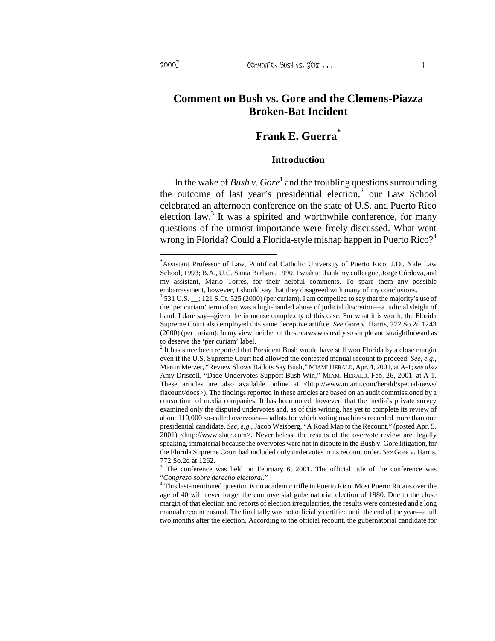# Frank E. Guerra<sup>\*</sup>

#### Introduction

In the wake oBush v. Goreand the troubling questions surrounding the outcome of last year€s presidential electionr Law School celebrated an afteoron conference on the state of U.S. and Puerto Rico election law<sup>3</sup>. It was a spirited and worthwhile conference, for many questions of the utmost importance were freely discussed. What went wrong in Florida? Could a Floriestyle mishap happen in Puerto  $\mathbb{R}^n$ 

 $2$  It has since been reported that President Bush would have still won Florida by a close margin even if the U.S. Supreme Court had allowed the contested manual recount to proceed. Martin Merzer, fReview Shows Ballots Say BusMLAMI HERALD, Apr. 4, 2001, at A1; see also Amy Driscoll, fDade Undervotes Support Bush Wim, LAMI HERALD, Feb. 26, 2001, at A. These articles are also available online [at <http://www.miami.com/herald/specia](http://www.miami.com/herald/special/news/)l/news/ flacount/docs>). The findings reported in these articles assed on an audit commissioned by a consortium of media companies. It has been noted, however, that the media€s private survey examined only the disputed undervotes and, as of this writing, has yet to complete its review of about 110,000 soalled overvotes ballots for which voting machines recorded more than one presidential candidat See, e.g. Jacob Weisberg, f A Road Map to the Recount, m (posted Apr. 5, 2001) [<http://www.slate.co](http://www.slate.com)m>. Nevertheless, the results of the overvote review are, legally speaking, immaterial because the overvotes were not in dispute in the Bush v. Gore litigation, for the Florida Supreme Court had included only undervotes in its recount Sede ore v. Harris, 772 So.2d at 1262.

 $3$  The conference was held on February 6, 2001 the official title of the conference was

 $f$ Congreso sobre derecho electorॢal<br><sup>4</sup> This lasŧmentioned question is no academic trifle in Puerto Rico. Most Puerto Ricans over the age of 40 will never forget the controversial gubernatorial election of 1980to Dthe close margin of that election and reports of election irregularities, the results were contested and a long manual recount ensued. The final tally was not officially certified until the end of the greal two months after the election. Accorditothe official recount, the gubernatorial candidate for

<sup>\*</sup> Assistant Professor of Law, Pontifical Catholic University of Puerto Rico; J.D., Yale Law School, 1993; B.A.U.C. Santa Barbara, 1990. I wish to thank my colleague, Jorge Córdova, and my assistant, Mario Torres, for their helpful comments. To spare them any possible embarrassment, however, I should say that they disagreed with many of my conclusions. 1 531 U.S.\_\_; 121 S.Ct. 525 (2000) (per curiam). I am compelled to say that the majority€s use of the •per curiam€ term of art was a highnded abuse of judicial discretion judicial sleight of hand, I dare say given the immense complexity of this case. For whist worth, the Florida Supreme Court also employed this same deceptive artitiens ore v. Harris, 772 So.2d 1243 (2000) (per curiam). In my view, neither of these cases was really so simple and straightforward as to deserve the •per curiam€ label.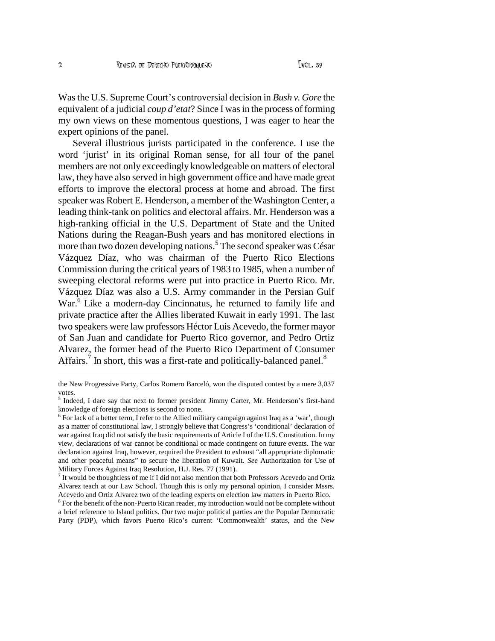Was the U.S. Supreme Court's controversial decision in *Bush v. Gore* the equivalent of a judicial *coup d'etat*? Since I was in the process of forming my own views on these momentous questions, I was eager to hear the expert opinions of the panel.

Several illustrious jurists participated in the conference. I use the word 'jurist' in its original Roman sense, for all four of the panel members are not only exceedingly knowledgeable on matters of electoral law, they have also served in high government office and have made great efforts to improve the electoral process at home and abroad. The first speaker was Robert E. Henderson, a member of the Washington Center, a leading think-tank on politics and electoral affairs. Mr. Henderson was a high-ranking official in the U.S. Department of State and the United Nations during the Reagan-Bush years and has monitored elections in more than two dozen developing nations.<sup>5</sup> The second speaker was César Vázquez Díaz, who was chairman of the Puerto Rico Elections Commission during the critical years of 1983 to 1985, when a number of sweeping electoral reforms were put into practice in Puerto Rico. Mr. Vázquez Díaz was also a U.S. Army commander in the Persian Gulf War.<sup>6</sup> Like a modern-day Cincinnatus, he returned to family life and private practice after the Allies liberated Kuwait in early 1991. The last two speakers were law professors Héctor Luis Acevedo, the former mayor of San Juan and candidate for Puerto Rico governor, and Pedro Ortiz Alvarez, the former head of the Puerto Rico Department of Consumer Affairs.<sup>7</sup> In short, this was a first-rate and politically-balanced panel.<sup>8</sup>

the New Progressive Party, Carlos Romero Barceló, won the disputed contest by a mere 3,037 votes.

<sup>&</sup>lt;sup>5</sup> Indeed, I dare say that next to former president Jimmy Carter, Mr. Henderson's first-hand knowledge of foreign elections is second to none.

<sup>&</sup>lt;sup>6</sup> For lack of a better term, I refer to the Allied military campaign against Iraq as a 'war', though as a matter of constitutional law, I strongly believe that Congress's 'conditional' declaration of war against Iraq did not satisfy the basic requirements of Article I of the U.S. Constitution. In my view, declarations of war cannot be conditional or made contingent on future events. The war declaration against Iraq, however, required the President to exhaust "all appropriate diplomatic and other peaceful means" to secure the liberation of Kuwait. *See* Authorization for Use of Military Forces Against Iraq Resolution, H.J. Res. 77 (1991).

 $7$  It would be thoughtless of me if I did not also mention that both Professors Acevedo and Ortiz Alvarez teach at our Law School. Though this is only my personal opinion, I consider Mssrs. Acevedo and Ortiz Alvarez two of the leading experts on election law matters in Puerto Rico.

 $8$  For the benefit of the non-Puerto Rican reader, my introduction would not be complete without a brief reference to Island politics. Our two major political parties are the Popular Democratic Party (PDP), which favors Puerto Rico's current 'Commonwealth' status, and the New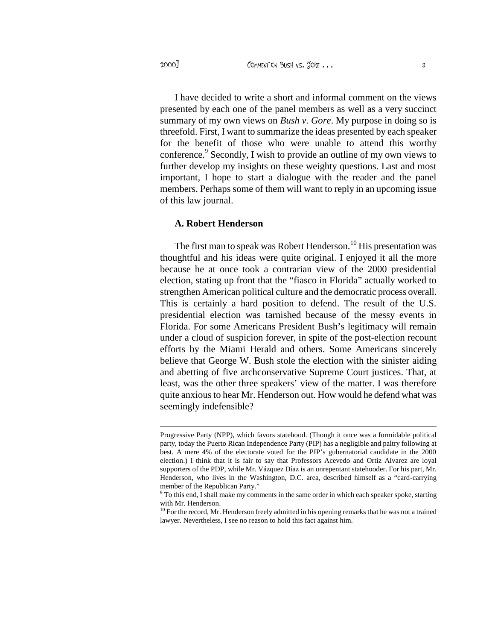2000] COMMENT ON BUSH VS. GORE ...

I have decided to write a short and informal comment on the views presented by each one of the panel members as well as a very succinct summary of my own views on *Bush v. Gore*. My purpose in doing so is threefold. First, I want to summarize the ideas presented by each speaker for the benefit of those who were unable to attend this worthy conference.<sup>9</sup> Secondly, I wish to provide an outline of my own views to further develop my insights on these weighty questions. Last and most important, I hope to start a dialogue with the reader and the panel members. Perhaps some of them will want to reply in an upcoming issue of this law journal.

### **A. Robert Henderson**

The first man to speak was Robert Henderson.<sup>10</sup> His presentation was thoughtful and his ideas were quite original. I enjoyed it all the more because he at once took a contrarian view of the 2000 presidential election, stating up front that the "fiasco in Florida" actually worked to strengthen American political culture and the democratic process overall. This is certainly a hard position to defend. The result of the U.S. presidential election was tarnished because of the messy events in Florida. For some Americans President Bush's legitimacy will remain under a cloud of suspicion forever, in spite of the post-election recount efforts by the Miami Herald and others. Some Americans sincerely believe that George W. Bush stole the election with the sinister aiding and abetting of five archconservative Supreme Court justices. That, at least, was the other three speakers' view of the matter. I was therefore quite anxious to hear Mr. Henderson out. How would he defend what was seemingly indefensible?

Progressive Party (NPP), which favors statehood. (Though it once was a formidable political party, today the Puerto Rican Independence Party (PIP) has a negligible and paltry following at best. A mere 4% of the electorate voted for the PIP's gubernatorial candidate in the 2000 election.) I think that it is fair to say that Professors Acevedo and Ortiz Alvarez are loyal supporters of the PDP, while Mr. Vázquez Díaz is an unrepentant statehooder. For his part, Mr. Henderson, who lives in the Washington, D.C. area, described himself as a "card-carrying member of the Republican Party."

<sup>&</sup>lt;sup>9</sup> To this end, I shall make my comments in the same order in which each speaker spoke, starting with Mr. Henderson.

<sup>&</sup>lt;sup>10</sup> For the record, Mr. Henderson freely admitted in his opening remarks that he was not a trained lawyer. Nevertheless, I see no reason to hold this fact against him.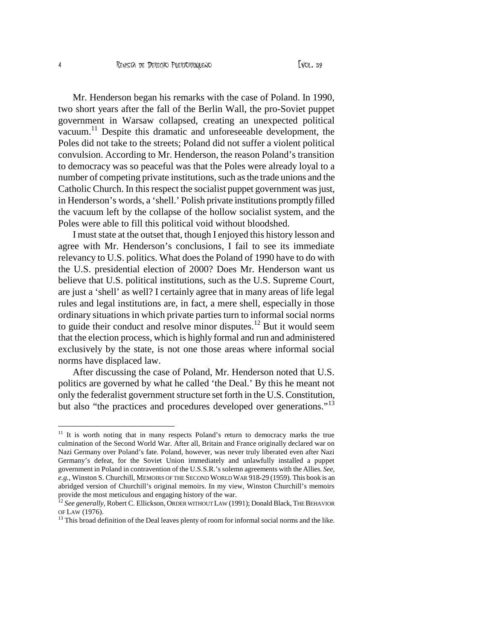Mr. Henderson began his remarks with the case of Poland. In 1990, two short years after the fall of the Berlin Wall, the pro-Soviet puppet government in Warsaw collapsed, creating an unexpected political vacuum. <sup>11</sup> Despite this dramatic and unforeseeable development, the Poles did not take to the streets; Poland did not suffer a violent political convulsion. According to Mr. Henderson, the reason Poland's transition to democracy was so peaceful was that the Poles were already loyal to a number of competing private institutions, such as the trade unions and the Catholic Church. In this respect the socialist puppet government was just, in Henderson's words, a 'shell.' Polish private institutions promptly filled the vacuum left by the collapse of the hollow socialist system, and the Poles were able to fill this political void without bloodshed.

I must state at the outset that, though I enjoyed this history lesson and agree with Mr. Henderson's conclusions, I fail to see its immediate relevancy to U.S. politics. What does the Poland of 1990 have to do with the U.S. presidential election of 2000? Does Mr. Henderson want us believe that U.S. political institutions, such as the U.S. Supreme Court, are just a 'shell' as well? I certainly agree that in many areas of life legal rules and legal institutions are, in fact, a mere shell, especially in those ordinary situations in which private parties turn to informal social norms to guide their conduct and resolve minor disputes.<sup>12</sup> But it would seem that the election process, which is highly formal and run and administered exclusively by the state, is not one those areas where informal social norms have displaced law.

After discussing the case of Poland, Mr. Henderson noted that U.S. politics are governed by what he called 'the Deal.' By this he meant not only the federalist government structure set forth in the U.S. Constitution, but also "the practices and procedures developed over generations."<sup>13</sup>

<sup>&</sup>lt;sup>11</sup> It is worth noting that in many respects Poland's return to democracy marks the true culmination of the Second World War. After all, Britain and France originally declared war on Nazi Germany over Poland's fate. Poland, however, was never truly liberated even after Nazi Germany's defeat, for the Soviet Union immediately and unlawfully installed a puppet government in Poland in contravention of the U.S.S.R.'s solemn agreements with the Allies. *See, e.g.,* Winston S. Churchill, MEMOIRS OF THE SECOND WORLDWAR 918-29 (1959). This book is an abridged version of Churchill's original memoirs. In my view, Winston Churchill's memoirs provide the most meticulous and engaging history of the war.

 $^{\bar{1}2}$  *See generally,* Robert C. Ellickson, Order without Law (1991); Donald Black, The Behavior OF LAW (1976).

 $13$  This broad definition of the Deal leaves plenty of room for informal social norms and the like.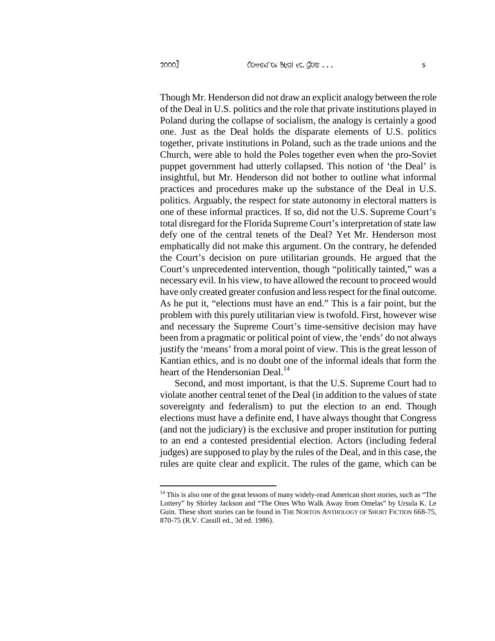Though Mr. Henderson did not draw an explicit analogy between the role of the Deal in U.S. politics and the role that private institutions played in Poland during the collapse of socialism, the analogy is certainly a good one. Just as the Deal holds the disparate elements of U.S. politics together, private institutions in Poland, such as the trade unions and the Church, were able to hold the Poles together even when the pro-Soviet puppet government had utterly collapsed. This notion of 'the Deal' is insightful, but Mr. Henderson did not bother to outline what informal practices and procedures make up the substance of the Deal in U.S. politics. Arguably, the respect for state autonomy in electoral matters is one of these informal practices. If so, did not the U.S. Supreme Court's total disregard for the Florida Supreme Court's interpretation of state law defy one of the central tenets of the Deal? Yet Mr. Henderson most emphatically did not make this argument. On the contrary, he defended the Court's decision on pure utilitarian grounds. He argued that the Court's unprecedented intervention, though "politically tainted," was a necessary evil. In his view, to have allowed the recount to proceed would have only created greater confusion and less respect for the final outcome. As he put it, "elections must have an end." This is a fair point, but the problem with this purely utilitarian view is twofold. First, however wise and necessary the Supreme Court's time-sensitive decision may have been from a pragmatic or political point of view, the 'ends' do not always justify the 'means' from a moral point of view. This is the great lesson of Kantian ethics, and is no doubt one of the informal ideals that form the heart of the Hendersonian Deal.<sup>14</sup>

Second, and most important, is that the U.S. Supreme Court had to violate another central tenet of the Deal (in addition to the values of state sovereignty and federalism) to put the election to an end. Though elections must have a definite end, I have always thought that Congress (and not the judiciary) is the exclusive and proper institution for putting to an end a contested presidential election. Actors (including federal judges) are supposed to play by the rules of the Deal, and in this case, the rules are quite clear and explicit. The rules of the game, which can be

<sup>&</sup>lt;sup>14</sup> This is also one of the great lessons of many widely-read American short stories, such as "The Lottery" by Shirley Jackson and "The Ones Who Walk Away from Omelas" by Ursula K. Le Guin. These short stories can be found in THE NORTON ANTHOLOGY OF SHORT FICTION 668-75, 870-75 (R.V. Cassill ed., 3d ed. 1986).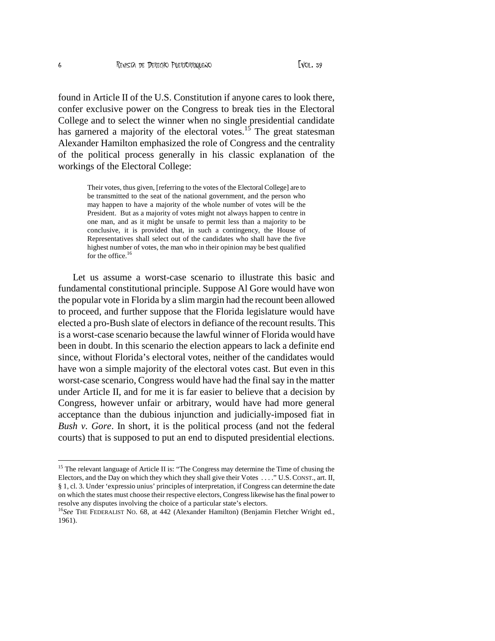found in Article II of the U.S. Constitution if anyone cares to look there, confer exclusive power on the Congress to break ties in the Electoral College and to select the winner when no single presidential candidate has garnered a majority of the electoral votes.<sup>15</sup> The great statesman Alexander Hamilton emphasized the role of Congress and the centrality of the political process generally in his classic explanation of the workings of the Electoral College:

> Their votes, thus given, [referring to the votes of the Electoral College] are to be transmitted to the seat of the national government, and the person who may happen to have a majority of the whole number of votes will be the President. But as a majority of votes might not always happen to centre in one man, and as it might be unsafe to permit less than a majority to be conclusive, it is provided that, in such a contingency, the House of Representatives shall select out of the candidates who shall have the five highest number of votes, the man who in their opinion may be best qualified for the office.<sup>16</sup>

Let us assume a worst-case scenario to illustrate this basic and fundamental constitutional principle. Suppose Al Gore would have won the popular vote in Florida by a slim margin had the recount been allowed to proceed, and further suppose that the Florida legislature would have elected a pro-Bush slate of electors in defiance of the recount results. This is a worst-case scenario because the lawful winner of Florida would have been in doubt. In this scenario the election appears to lack a definite end since, without Florida's electoral votes, neither of the candidates would have won a simple majority of the electoral votes cast. But even in this worst-case scenario, Congress would have had the final say in the matter under Article II, and for me it is far easier to believe that a decision by Congress, however unfair or arbitrary, would have had more general acceptance than the dubious injunction and judicially-imposed fiat in *Bush v. Gore*. In short, it is the political process (and not the federal courts) that is supposed to put an end to disputed presidential elections.

<sup>&</sup>lt;sup>15</sup> The relevant language of Article II is: "The Congress may determine the Time of chusing the Electors, and the Day on which they which they shall give their Votes . . . ." U.S.CONST., art. II, § 1, cl. 3. Under 'expressio unius' principles of interpretation, if Congress can determine the date on which the states must choose their respective electors, Congress likewise has the final power to resolve any disputes involving the choice of a particular state's electors.

<sup>&</sup>lt;sup>16</sup>See THE FEDERALIST NO. 68, at 442 (Alexander Hamilton) (Benjamin Fletcher Wright ed., 1961).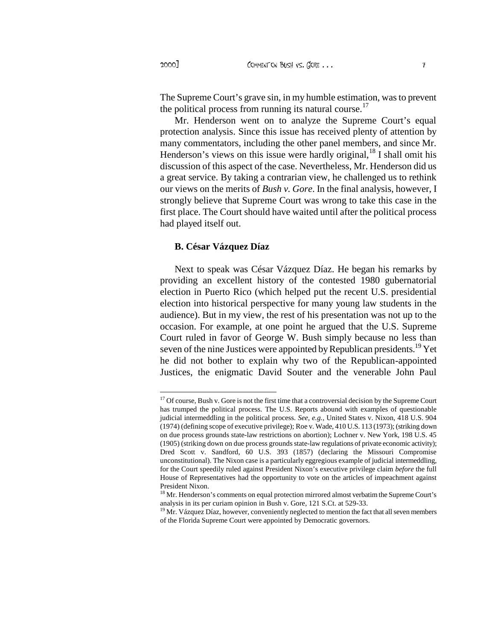The Supreme Court's grave sin, in my humble estimation, was to prevent the political process from running its natural course.<sup>17</sup>

Mr. Henderson went on to analyze the Supreme Court's equal protection analysis. Since this issue has received plenty of attention by many commentators, including the other panel members, and since Mr. Henderson's views on this issue were hardly original,  $^{18}$  I shall omit his discussion of this aspect of the case. Nevertheless, Mr. Henderson did us a great service. By taking a contrarian view, he challenged us to rethink our views on the merits of *Bush v. Gore*. In the final analysis, however, I strongly believe that Supreme Court was wrong to take this case in the first place. The Court should have waited until after the political process had played itself out.

## **B. César Vázquez Díaz**

Next to speak was César Vázquez Díaz. He began his remarks by providing an excellent history of the contested 1980 gubernatorial election in Puerto Rico (which helped put the recent U.S. presidential election into historical perspective for many young law students in the audience). But in my view, the rest of his presentation was not up to the occasion. For example, at one point he argued that the U.S. Supreme Court ruled in favor of George W. Bush simply because no less than seven of the nine Justices were appointed by Republican presidents.<sup>19</sup> Yet he did not bother to explain why two of the Republican-appointed Justices, the enigmatic David Souter and the venerable John Paul

<sup>&</sup>lt;sup>17</sup> Of course, Bush v. Gore is not the first time that a controversial decision by the Supreme Court has trumped the political process. The U.S. Reports abound with examples of questionable judicial intermeddling in the political process. *See, e.g.,* United States v. Nixon, 418 U.S. 904 (1974) (defining scope of executive privilege); Roe v. Wade, 410 U.S. 113 (1973); (striking down on due process grounds state-law restrictions on abortion); Lochner v. New York, 198 U.S. 45 (1905) (striking down on due process grounds state-law regulations of private economic activity); Dred Scott v. Sandford, 60 U.S. 393 (1857) (declaring the Missouri Compromise unconstitutional). The Nixon case is a particularly eggregious example of judicial intermeddling, for the Court speedily ruled against President Nixon's executive privilege claim *before* the full House of Representatives had the opportunity to vote on the articles of impeachment against President Nixon.

<sup>&</sup>lt;sup>18</sup> Mr. Henderson's comments on equal protection mirrored almost verbatim the Supreme Court's analysis in its per curiam opinion in Bush v. Gore, 121 S.Ct. at 529-33.

<sup>&</sup>lt;sup>19</sup> Mr. Vázquez Díaz, however, conveniently neglected to mention the fact that all seven members of the Florida Supreme Court were appointed by Democratic governors.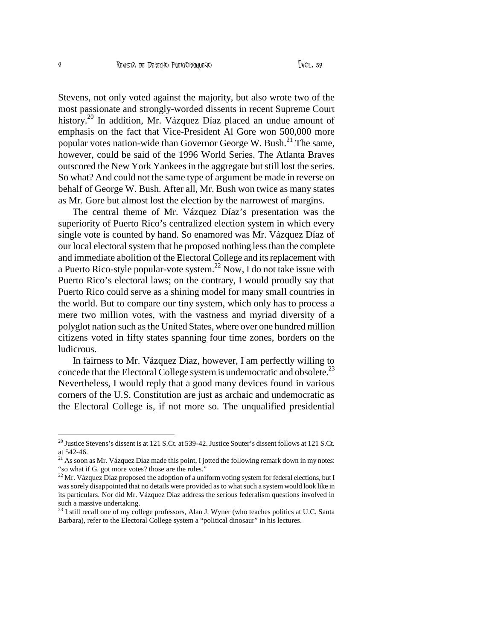Stevens, not only voted against the majority, but also wrote two of the most passionate and strongly-worded dissents in recent Supreme Court history.<sup>20</sup> In addition, Mr. Vázquez Díaz placed an undue amount of emphasis on the fact that Vice-President Al Gore won 500,000 more popular votes nation-wide than Governor George W. Bush.<sup>21</sup> The same, however, could be said of the 1996 World Series. The Atlanta Braves outscored the New York Yankees in the aggregate but still lost the series. So what? And could not the same type of argument be made in reverse on behalf of George W. Bush. After all, Mr. Bush won twice as many states as Mr. Gore but almost lost the election by the narrowest of margins.

The central theme of Mr. Vázquez Díaz's presentation was the superiority of Puerto Rico's centralized election system in which every single vote is counted by hand. So enamored was Mr. Vázquez Díaz of our local electoral system that he proposed nothing less than the complete and immediate abolition of the Electoral College and its replacement with a Puerto Rico-style popular-vote system.<sup>22</sup> Now, I do not take issue with Puerto Rico's electoral laws; on the contrary, I would proudly say that Puerto Rico could serve as a shining model for many small countries in the world. But to compare our tiny system, which only has to process a mere two million votes, with the vastness and myriad diversity of a polyglot nation such as the United States, where over one hundred million citizens voted in fifty states spanning four time zones, borders on the ludicrous.

In fairness to Mr. Vázquez Díaz, however, I am perfectly willing to concede that the Electoral College system is undemocratic and obsolete.<sup>23</sup> Nevertheless, I would reply that a good many devices found in various corners of the U.S. Constitution are just as archaic and undemocratic as the Electoral College is, if not more so. The unqualified presidential

 $^{20}$  Justice Stevens's dissent is at 121 S.Ct. at 539-42. Justice Souter's dissent follows at 121 S.Ct. at 542-46.

 $21$  As soon as Mr. Vázquez Díaz made this point, I jotted the following remark down in my notes: "so what if G. got more votes? those are the rules."

<sup>&</sup>lt;sup>22</sup> Mr. Vázquez Díaz proposed the adoption of a uniform voting system for federal elections, but I was sorely disappointed that no details were provided as to what such a system would look like in its particulars. Nor did Mr. Vázquez Díaz address the serious federalism questions involved in such a massive undertaking.

<sup>&</sup>lt;sup>23</sup> I still recall one of my college professors, Alan J. Wyner (who teaches politics at U.C. Santa Barbara), refer to the Electoral College system a "political dinosaur" in his lectures.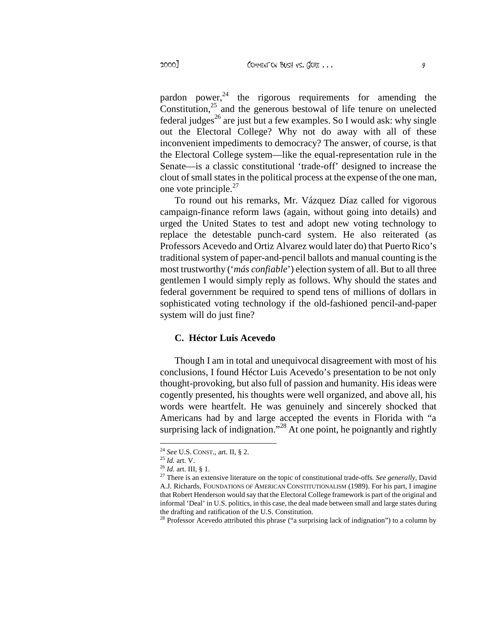pardon power,  $24$  the rigorous requirements for amending the Constitution, $25$  and the generous bestowal of life tenure on unelected federal judges<sup>26</sup> are just but a few examples. So I would ask: why single out the Electoral College? Why not do away with all of these inconvenient impediments to democracy? The answer, of course, is that the Electoral College system—like the equal-representation rule in the Senate—is a classic constitutional 'trade-off' designed to increase the clout of small states in the political process at the expense of the one man, one vote principle. $27$ 

To round out his remarks, Mr. Vázquez Díaz called for vigorous campaign-finance reform laws (again, without going into details) and urged the United States to test and adopt new voting technology to replace the detestable punch-card system. He also reiterated (as Professors Acevedo and Ortiz Alvarez would later do) that Puerto Rico's traditional system of paper-and-pencil ballots and manual counting is the most trustworthy ('*más confiable*') election system of all. But to all three gentlemen I would simply reply as follows. Why should the states and federal government be required to spend tens of millions of dollars in sophisticated voting technology if the old-fashioned pencil-and-paper system will do just fine?

### **C. Héctor Luis Acevedo**

Though I am in total and unequivocal disagreement with most of his conclusions, I found Héctor Luis Acevedo's presentation to be not only thought-provoking, but also full of passion and humanity. His ideas were cogently presented, his thoughts were well organized, and above all, his words were heartfelt. He was genuinely and sincerely shocked that Americans had by and large accepted the events in Florida with "a surprising lack of indignation."<sup>28</sup> At one point, he poignantly and rightly

<sup>24</sup> *See* U.S. CONST., art. II, § 2.

<sup>25</sup> *Id.* art. V.

 $^{26}$   $Id.$  art. III,  $\S$  1.

<sup>27</sup> There is an extensive literature on the topic of constitutional trade-offs. *See generally,* David A.J. Richards, FOUNDATIONS OF AMERICAN CONSTITUTIONALISM (1989). For his part, I imagine that Robert Henderson would say that the Electoral College framework is part of the original and informal 'Deal' in U.S. politics, in this case, the deal made between small and large states during the drafting and ratification of the U.S. Constitution.

 $28$  Professor Acevedo attributed this phrase ("a surprising lack of indignation") to a column by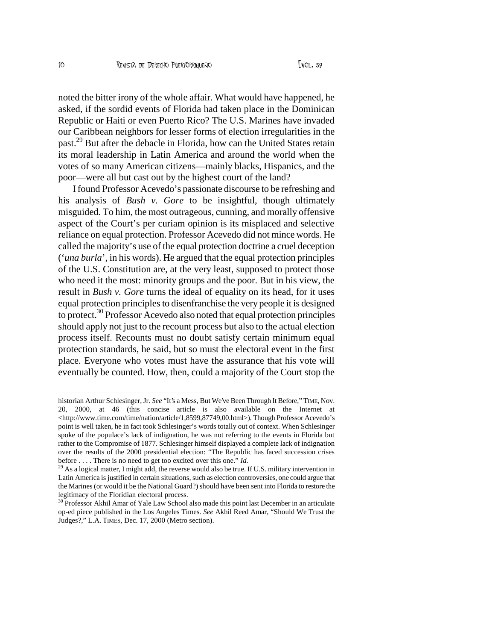noted the bitter irony of the whole affair. What would have happened, he asked if the sordid events of Florida had taken place in the Dominican Republic or Haiti or even Puerto Rico? The U.S. Marines have invaded our Caribbean neighbors for lesser forms of election irregularities in the past $2^9$  But after the debacle in Florida, how the United States retain its moral leadership in Latin America and around the world when the votes of so many American citizen mainly blacks. Hispanics, and the poor, were all but cast out by the highest court of the land?

I found Professor Acevedo €s passionate discourse to be refreshing and his analysis of Bush v. Goreto be insightful, though ultimately misguided. To him, the most outrageous, cunning, and morally offensive aspect of the Court€s per curiam opinion is its misplaced and selective reliance on equal protection. Professor Acevedo did not mince words. He called the majority€s use of the equal protection doctrine a cruel deception (•una burla€, in his words). He argued that the equal protection principles of the U.S. Constitution are, at thery least, supposed to protect those who need it the most: minority groups and the poor. But in his view, the result inBush v. Gordurns the ideal of equality on its head, for it uses equal protection principles to disenfranchise the very people is in the to protect.<sup>30</sup> Professor Acevedo also noted that equal protection principles should apply not just to the recount process but also to the actual election process itself. Recounts must no doubt satisfy certain minimum equal protection standards, haid, but so must the electoral event in the first place. Everyone who votes must have the assurance that his vote will eventually be counted. How, then, could a majority of the Court stop the

historian Arthur Schlesinger, SBeef It's a Mess, But We've Been Through It Before, Nov. 20, 2000, at 46 (this concise article is also available on the Internet at [<http://www.time.com/time/nation/article](http://www.time.com/time/nation/article/1)/1,8599,87749,00.html>). Though Professor Acevedo€s point is well taken, he in fact took Schlesinger€s words totally out of context. Sthesinger spoke of the populace€s lack of indignation, he was not referring to the events in Florida but rather to the Compromise of 1877. Schlesinger himself displayed a complete lack of indignation over the results of the 2000 presidential election Republic has faced succession crises before  $\dots$ . There is no need to get too excited over this  $\phi$ .

 $29$  As a logical matter, I might add, the reverse would also be true. If U.S. military intervention in Latin America is justified in certain siations, such as election controversies, one could argue that the Marines (or would it be the National Guard?) should have been sent into Florida to restore the legitimacy of the Floridian electoral process.

 $30$  Professor Akhil Amar of Yale Law School alstade this point last December in an articulate op-ed piece published in the Los Angeles TimeseAkhil Reed Amar, f Should We Trust the Judges?, L.A. TIMES, Dec. 17, 2000 (Metro section).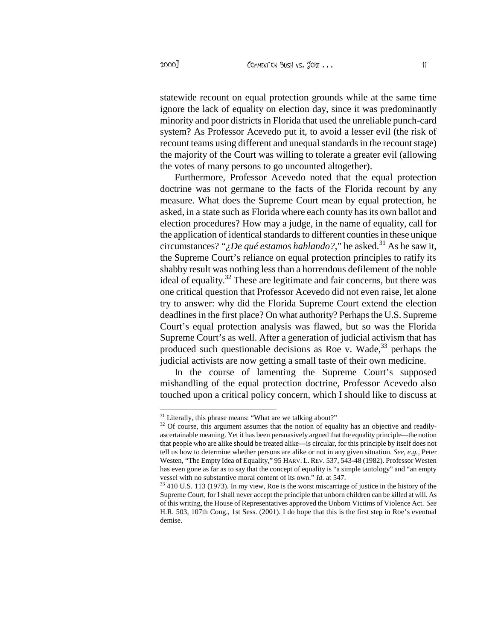statewide recount on equal protection grounds while at the same time ignore the lack of equality on election day, since it was predominantly minority and poor districts in Florida that used the unreliable punch-card system? As Professor Acevedo put it, to avoid a lesser evil (the risk of recount teams using different and unequal standards in the recount stage) the majority of the Court was willing to tolerate a greater evil (allowing the votes of many persons to go uncounted altogether).

Furthermore, Professor Acevedo noted that the equal protection doctrine was not germane to the facts of the Florida recount by any measure. What does the Supreme Court mean by equal protection, he asked, in a state such as Florida where each county has its own ballot and election procedures? How may a judge, in the name of equality, call for the application of identical standards to different counties in these unique circumstances? "*<i>;* De qué estamos hablando?," he asked.<sup>31</sup> As he saw it, the Supreme Court's reliance on equal protection principles to ratify its shabby result was nothing less than a horrendous defilement of the noble ideal of equality.<sup>32</sup> These are legitimate and fair concerns, but there was one critical question that Professor Acevedo did not even raise, let alone try to answer: why did the Florida Supreme Court extend the election deadlines in the first place? On what authority? Perhaps the U.S. Supreme Court's equal protection analysis was flawed, but so was the Florida Supreme Court's as well. After a generation of judicial activism that has produced such questionable decisions as Roe v. Wade,  $33$  perhaps the judicial activists are now getting a small taste of their own medicine.

In the course of lamenting the Supreme Court's supposed mishandling of the equal protection doctrine, Professor Acevedo also touched upon a critical policy concern, which I should like to discuss at

<sup>&</sup>lt;sup>31</sup> Literally, this phrase means: "What are we talking about?"

<sup>&</sup>lt;sup>32</sup> Of course, this argument assumes that the notion of equality has an objective and readilyascertainable meaning. Yet it has been persuasively argued that the equality principle—the notion that people who are alike should be treated alike—is circular, for this principle by itself does not tell us how to determine whether persons are alike or not in any given situation. *See, e.g.,* Peter Westen, "The Empty Idea of Equality," 95 HARV. L.REV. 537, 543-48 (1982). Professor Westen has even gone as far as to say that the concept of equality is "a simple tautology" and "an empty vessel with no substantive moral content of its own." *Id.* at 547.

<sup>&</sup>lt;sup>33</sup> 410 U.S. 113 (1973). In my view, Roe is the worst miscarriage of justice in the history of the Supreme Court, for I shall never accept the principle that unborn children can be killed at will. As of this writing, the House of Representatives approved the Unborn Victims of Violence Act. *See* H.R. 503, 107th Cong., 1st Sess. (2001). I do hope that this is the first step in Roe's eventual demise.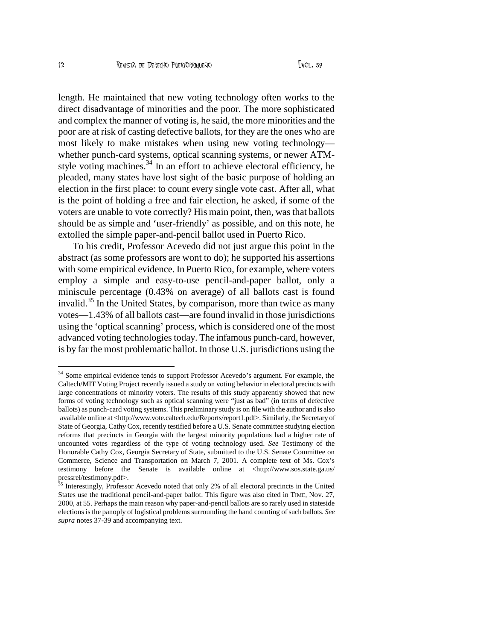length. He maintained that new voting technology often works to the direct disadvantage of minorities and the poor. The more sophisticated and complex the manner of voting is, he said, the more minorities an poor are at risk of casting defective ballots, for they are the ones who are most likely to make mistakes when using new voting technology ' whether punchcard systems, optical scanning systems, or newer ATM style voting machine<sup>34</sup>. In an effort to acleve electoral efficiency, he pleaded, many states have lost sight of the basic purpose of holding an election in the first place: to count every single vote cast. After all, what is the point of holding a free and fair election, he asked, if some of the voters are unable to vote correctly? His main point, then, was that ballots should be as simple and  $\cdot$ ustriendly  $\epsilon$  as possible, and on this note, he extolled the simple papend-pencil ballot used in Puerto Rico.

To his credit, Professor Acevedo did not ti argue this point in the abstract (as some professors are wont to do); he supported his assertions with some empirical evidence. In Puerto Rico, for example, where voters employ a simple and easo-use penciland-paper ballot, only a miniscule percentae (0.43% on average) of all ballots cast is found invalid.<sup>35</sup> In the United States, by comparison, more than twice as many votes 1.43% of all ballots cast are found invalid in those jurisdictions using the •optical scanning  $\epsilon$  process, which is considered the most advanced voting technologies today. The infamous puant, however, is by far the most problematic ballot. In those U.S. jurisdictions using the

<sup>34</sup> Some empirical evidence tends to support Professor Acevedo€s argument. For example, the Caltech/MIT Voting Project recently issued a study on voting behavior in electoral precincts with large concentrations of minority voters. The ultes of this study apparently showed that new forms of voting technology such as optical scanning were fjust as bad,, (in terms of defective ballots) as punchard voting systems. This preliminary study is on file with the author and is also available online at [<http://www.vote.caltech.edu/Reports/report1](http://www.vote.caltech.edu/Reports/report1.pdf).pdf>. Similarly, the Secretary of State of Georgia, Cathy Cox, recently testified before a U.S. Senate committee studying election reforms that precincts in Georgia with the largest minority populatiodsahagher rate of uncounted votes regardless of the type of voting technology **GREE** Testimony of the Honorable Cathy Cox, Georgia Secretary of State, submitted to the U.S. Senate Committee on Commerce, Science and Transportation on March 7, 2001. mplete text of Ms. Cox€s testimony before the Senate is available online [at <http://www.sos.state](http://www.sos.state.ga.us/).ga.us/ pressrel/testimony.pdf>.

<sup>&</sup>lt;sup>35</sup> Interestingly, Professor Acevedo noted that only 2% of all electoral precincts in the United States use the traditional poleand-paper ballot. This figure was also cited Time, Nov. 27, 2000, at 55. Perhaps the main reason why pape pencil ballots are so rarely used in stateside elections is the panoply of logistical problems surrounding the hand counting of suth ballo supranotes 3739 and accompanying text.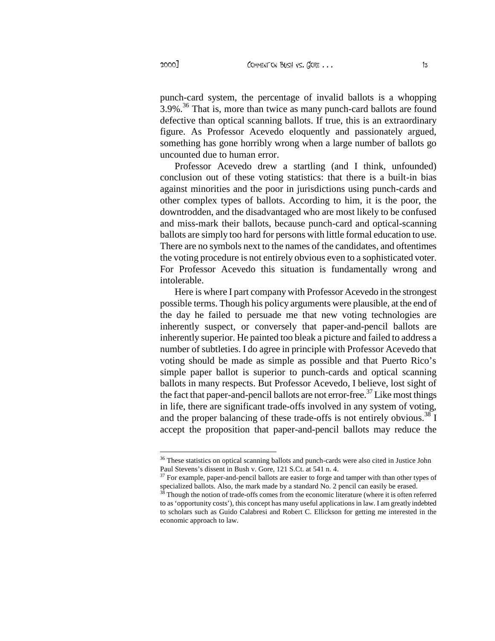punch-card system, the percentage of invalid ballots is a whopping  $3.9\%$ <sup>36</sup> That is, more than twice as many punch-card ballots are found defective than optical scanning ballots. If true, this is an extraordinary figure. As Professor Acevedo eloquently and passionately argued, something has gone horribly wrong when a large number of ballots go uncounted due to human error.

Professor Acevedo drew a startling (and I think, unfounded) conclusion out of these voting statistics: that there is a built-in bias against minorities and the poor in jurisdictions using punch-cards and other complex types of ballots. According to him, it is the poor, the downtrodden, and the disadvantaged who are most likely to be confused and miss-mark their ballots, because punch-card and optical-scanning ballots are simply too hard for persons with little formal education to use. There are no symbols next to the names of the candidates, and oftentimes the voting procedure is not entirely obvious even to a sophisticated voter. For Professor Acevedo this situation is fundamentally wrong and intolerable.

Here is where I part company with Professor Acevedo in the strongest possible terms. Though his policy arguments were plausible, at the end of the day he failed to persuade me that new voting technologies are inherently suspect, or conversely that paper-and-pencil ballots are inherently superior. He painted too bleak a picture and failed to address a number of subtleties. I do agree in principle with Professor Acevedo that voting should be made as simple as possible and that Puerto Rico's simple paper ballot is superior to punch-cards and optical scanning ballots in many respects. But Professor Acevedo, I believe, lost sight of the fact that paper-and-pencil ballots are not error-free.<sup>37</sup> Like most things in life, there are significant trade-offs involved in any system of voting, and the proper balancing of these trade-offs is not entirely obvious.<sup>38</sup> I accept the proposition that paper-and-pencil ballots may reduce the

<sup>&</sup>lt;sup>36</sup> These statistics on optical scanning ballots and punch-cards were also cited in Justice John Paul Stevens's dissent in Bush v. Gore, 121 S.Ct. at 541 n. 4.

<sup>&</sup>lt;sup>37</sup> For example, paper-and-pencil ballots are easier to forge and tamper with than other types of specialized ballots. Also, the mark made by a standard No. 2 pencil can easily be erased.

<sup>38</sup> Though the notion of trade-offs comes from the economic literature (where it is often referred to as 'opportunity costs'), this concept has many useful applications in law. I am greatly indebted to scholars such as Guido Calabresi and Robert C. Ellickson for getting me interested in the economic approach to law.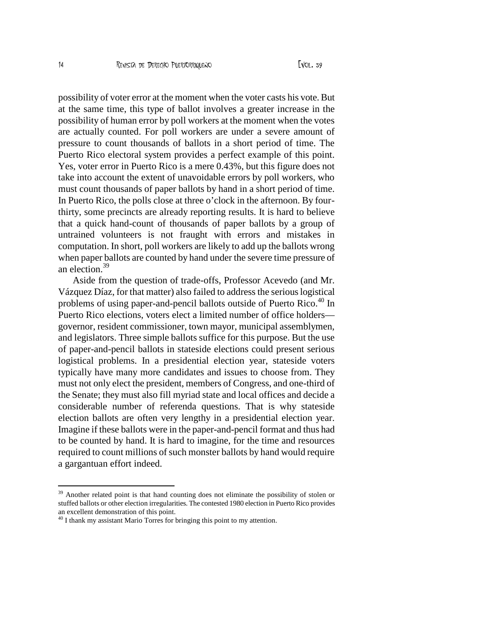possibility of voter error at the moment when the voter casts his vote. But at the same time, this type of ballot involves a greater increase in the possibility of human error by poll workers at the moment when the votes are actually counted. For poll workers are under a severe amount of pressure to count thousands of ballots in a short period of time. The Puerto Rico electoral system provides a perfect example of this point. Yes, voter error in Puerto Rico is a mere 0.43%, but this figure does not take into account the extent of unavoidable errors by poll workers, who must count thousands of paper ballots by hand in a short period of time. In Puerto Rico, the polls close at three o'clock in the afternoon. By fourthirty, some precincts are already reporting results. It is hard to believe that a quick hand-count of thousands of paper ballots by a group of untrained volunteers is not fraught with errors and mistakes in computation. In short, poll workers are likely to add up the ballots wrong when paper ballots are counted by hand under the severe time pressure of an election.<sup>39</sup>

Aside from the question of trade-offs, Professor Acevedo (and Mr. Vázquez Díaz, for that matter) also failed to address the serious logistical problems of using paper-and-pencil ballots outside of Puerto Rico.<sup>40</sup> In Puerto Rico elections, voters elect a limited number of office holders governor, resident commissioner, town mayor, municipal assemblymen, and legislators. Three simple ballots suffice for this purpose. But the use of paper-and-pencil ballots in stateside elections could present serious logistical problems. In a presidential election year, stateside voters typically have many more candidates and issues to choose from. They must not only elect the president, members of Congress, and one-third of the Senate; they must also fill myriad state and local offices and decide a considerable number of referenda questions. That is why stateside election ballots are often very lengthy in a presidential election year. Imagine if these ballots were in the paper-and-pencil format and thus had to be counted by hand. It is hard to imagine, for the time and resources required to count millions of such monster ballots by hand would require a gargantuan effort indeed.

<sup>&</sup>lt;sup>39</sup> Another related point is that hand counting does not eliminate the possibility of stolen or stuffed ballots or other election irregularities. The contested 1980 election in Puerto Rico provides an excellent demonstration of this point.

<sup>&</sup>lt;sup>40</sup> I thank my assistant Mario Torres for bringing this point to my attention.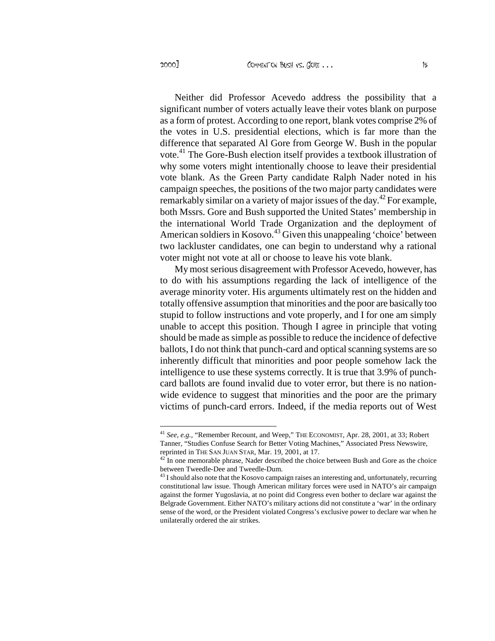Neither did Professor Acevedo address the possibility that a significant number of voters actually leave their votes blank on purpose as a form of protest. According to one report, blank votes comprise 2% of the votes in U.S. presidential elections, which is far more than the difference that separated Al Gore from George W. Bush in the popular vote.<sup>41</sup> The Gore-Bush election itself provides a textbook illustration of why some voters might intentionally choose to leave their presidential vote blank. As the Green Party candidate Ralph Nader noted in his campaign speeches, the positions of the two major party candidates were remarkably similar on a variety of major issues of the day.<sup>42</sup> For example, both Mssrs. Gore and Bush supported the United States' membership in the international World Trade Organization and the deployment of American soldiers in Kosovo.<sup>43</sup> Given this unappealing 'choice' between two lackluster candidates, one can begin to understand why a rational voter might not vote at all or choose to leave his vote blank.

My most serious disagreement with Professor Acevedo, however, has to do with his assumptions regarding the lack of intelligence of the average minority voter. His arguments ultimately rest on the hidden and totally offensive assumption that minorities and the poor are basically too stupid to follow instructions and vote properly, and I for one am simply unable to accept this position. Though I agree in principle that voting should be made as simple as possible to reduce the incidence of defective ballots, I do not think that punch-card and optical scanning systems are so inherently difficult that minorities and poor people somehow lack the intelligence to use these systems correctly. It is true that 3.9% of punchcard ballots are found invalid due to voter error, but there is no nationwide evidence to suggest that minorities and the poor are the primary victims of punch-card errors. Indeed, if the media reports out of West

<sup>41</sup> *See, e.g.,* "Remember Recount, and Weep," THE ECONOMIST, Apr. 28, 2001, at 33; Robert Tanner, "Studies Confuse Search for Better Voting Machines," Associated Press Newswire, reprinted in THE SAN JUAN STAR, Mar. 19, 2001, at 17.

 $42$ <sup>12</sup> In one memorable phrase, Nader described the choice between Bush and Gore as the choice between Tweedle-Dee and Tweedle-Dum.

<sup>&</sup>lt;sup>43</sup> I should also note that the Kosovo campaign raises an interesting and, unfortunately, recurring constitutional law issue. Though American military forces were used in NATO's air campaign against the former Yugoslavia, at no point did Congress even bother to declare war against the Belgrade Government. Either NATO's military actions did not constitute a 'war' in the ordinary sense of the word, or the President violated Congress's exclusive power to declare war when he unilaterally ordered the air strikes.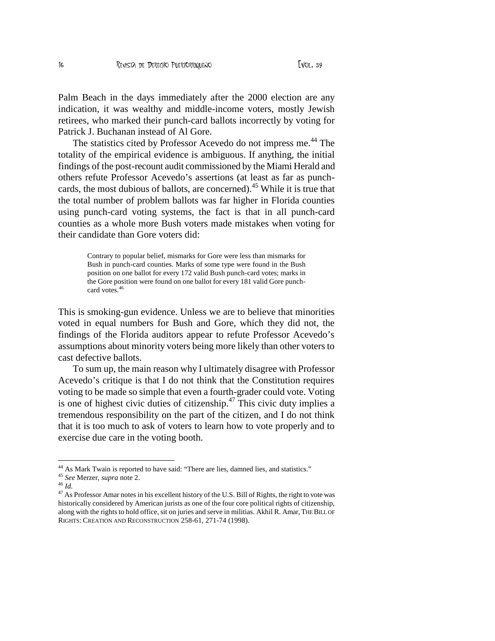Palm Beach in the days immediately after the 2000 election are any indication, it was wealthy and middle-income voters, mostly Jewish retirees, who marked their punch-card ballots incorrectly by voting for Patrick J. Buchanan instead of Al Gore.

The statistics cited by Professor Acevedo do not impress me.<sup>44</sup> The totality of the empirical evidence is ambiguous. If anything, the initial findings of the post-recount audit commissioned by the Miami Herald and others refute Professor Acevedo's assertions (at least as far as punchcards, the most dubious of ballots, are concerned).<sup>45</sup> While it is true that the total number of problem ballots was far higher in Florida counties using punch-card voting systems, the fact is that in all punch-card counties as a whole more Bush voters made mistakes when voting for their candidate than Gore voters did:

> Contrary to popular belief, mismarks for Gore were less than mismarks for Bush in punch-card counties. Marks of some type were found in the Bush position on one ballot for every 172 valid Bush punch-card votes; marks in the Gore position were found on one ballot for every 181 valid Gore punchcard votes.<sup>46</sup>

This is smoking-gun evidence. Unless we are to believe that minorities voted in equal numbers for Bush and Gore, which they did not, the findings of the Florida auditors appear to refute Professor Acevedo's assumptions about minority voters being more likely than other voters to cast defective ballots.

To sum up, the main reason why I ultimately disagree with Professor Acevedo's critique is that I do not think that the Constitution requires voting to be made so simple that even a fourth-grader could vote. Voting is one of highest civic duties of citizenship. $47$  This civic duty implies a tremendous responsibility on the part of the citizen, and I do not think that it is too much to ask of voters to learn how to vote properly and to exercise due care in the voting booth.

<sup>&</sup>lt;sup>44</sup> As Mark Twain is reported to have said: "There are lies, damned lies, and statistics."

<sup>45</sup> *See* Merzer, *supra* note 2.

<sup>46</sup> *Id.*

<sup>&</sup>lt;sup>47</sup> As Professor Amar notes in his excellent history of the U.S. Bill of Rights, the right to vote was historically considered by American jurists as one of the four core political rights of citizenship, along with the rights to hold office, sit on juries and serve in militias. Akhil R. Amar, THE BILL OF RIGHTS: CREATION AND RECONSTRUCTION 258-61, 271-74 (1998).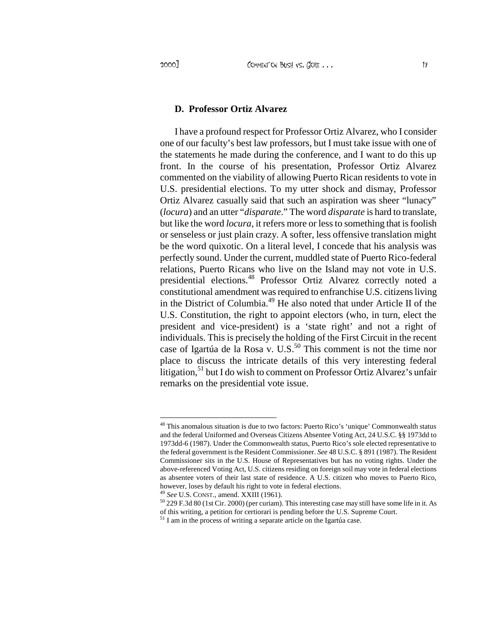#### **D. Professor Ortiz Alvarez**

I have a profound respect for Professor Ortiz Alvarez, who I consider one of our faculty's best law professors, but I must take issue with one of the statements he made during the conference, and I want to do this up front. In the course of his presentation, Professor Ortiz Alvarez commented on the viability of allowing Puerto Rican residents to vote in U.S. presidential elections. To my utter shock and dismay, Professor Ortiz Alvarez casually said that such an aspiration was sheer "lunacy" (*locura*) and an utter "*disparate*." The word *disparate* is hard to translate, but like the word *locura*, it refers more or less to something that is foolish or senseless or just plain crazy. A softer, less offensive translation might be the word quixotic. On a literal level, I concede that his analysis was perfectly sound. Under the current, muddled state of Puerto Rico-federal relations, Puerto Ricans who live on the Island may not vote in U.S. presidential elections.<sup>48</sup> Professor Ortiz Alvarez correctly noted a constitutional amendment was required to enfranchise U.S. citizens living in the District of Columbia.<sup>49</sup> He also noted that under Article II of the U.S. Constitution, the right to appoint electors (who, in turn, elect the president and vice-president) is a 'state right' and not a right of individuals. This is precisely the holding of the First Circuit in the recent case of Igartúa de la Rosa v. U.S.<sup>50</sup> This comment is not the time nor place to discuss the intricate details of this very interesting federal litigation,  $51$  but I do wish to comment on Professor Ortiz Alvarez's unfair remarks on the presidential vote issue.

This anomalous situation is due to two factors: Puerto Rico's 'unique' Commonwealth status and the federal Uniformed and Overseas Citizens Absentee Voting Act, 24 U.S.C. §§ 1973dd to 1973dd-6 (1987). Under the Commonwealth status, Puerto Rico's sole elected representative to the federal government is the Resident Commissioner. *See* 48 U.S.C. § 891 (1987). The Resident Commissioner sits in the U.S. House of Representatives but has no voting rights. Under the above-referenced Voting Act, U.S. citizens residing on foreign soil may vote in federal elections as absentee voters of their last state of residence. A U.S. citizen who moves to Puerto Rico, however, loses by default his right to vote in federal elections.

<sup>49</sup> *See* U.S. CONST., amend. XXIII (1961).

<sup>50</sup> 229 F.3d 80 (1st Cir. 2000) (per curiam). This interesting case may still have some life in it. As of this writing, a petition for certiorari is pending before the U.S. Supreme Court.

<sup>&</sup>lt;sup>51</sup> I am in the process of writing a separate article on the Igartúa case.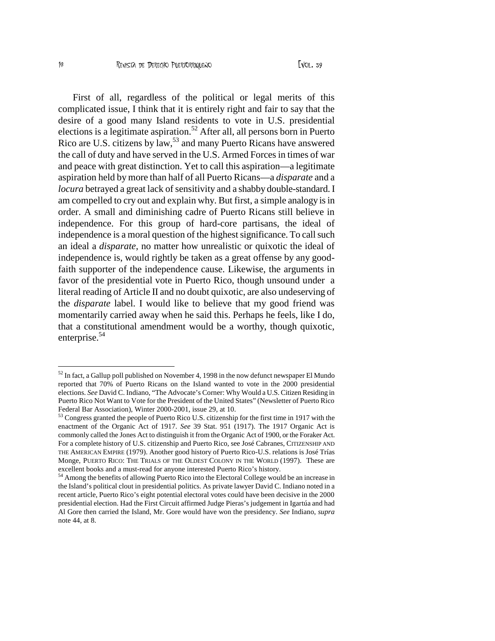First of all, regardless of the political or legal merits of this complicated issue, I think that it is entirely right and fair to say that the desire of a good many Island residents to vote in U.S. presidential elections is a legitimate aspiration.<sup>52</sup> After all, all persons born in Puerto Rico are U.S. citizens by law,<sup>53</sup> and many Puerto Ricans have answered the call of duty and have served in the U.S. Armed Forces in times of war and peace with great distinction. Yet to call this aspiration—a legitimate aspiration held by more than half of all Puerto Ricans—a *disparate* and a *locura* betrayed a great lack of sensitivity and a shabby double-standard. I am compelled to cry out and explain why. But first, a simple analogy is in order. A small and diminishing cadre of Puerto Ricans still believe in independence. For this group of hard-core partisans, the ideal of independence is a moral question of the highest significance. To call such an ideal a *disparate*, no matter how unrealistic or quixotic the ideal of independence is, would rightly be taken as a great offense by any goodfaith supporter of the independence cause. Likewise, the arguments in favor of the presidential vote in Puerto Rico, though unsound under a literal reading of Article II and no doubt quixotic, are also undeserving of the *disparate* label. I would like to believe that my good friend was momentarily carried away when he said this. Perhaps he feels, like I do, that a constitutional amendment would be a worthy, though quixotic, enterprise.<sup>54</sup>

 $52$  In fact, a Gallup poll published on November 4, 1998 in the now defunct newspaper El Mundo reported that 70% of Puerto Ricans on the Island wanted to vote in the 2000 presidential elections. *See* David C. Indiano, "The Advocate's Corner: Why Would a U.S. Citizen Residing in Puerto Rico Not Want to Vote for the President of the United States" (Newsletter of Puerto Rico Federal Bar Association), Winter 2000-2001, issue 29, at 10.

<sup>53</sup> Congress granted the people of Puerto Rico U.S. citizenship for the first time in 1917 with the enactment of the Organic Act of 1917. *See* 39 Stat. 951 (1917). The 1917 Organic Act is commonly called the Jones Act to distinguish it from the Organic Act of 1900, or the Foraker Act. For a complete history of U.S. citizenship and Puerto Rico, see José Cabranes, CITIZENSHIP AND THE AMERICAN EMPIRE (1979). Another good history of Puerto Rico-U.S. relations is José Trías Monge, PUERTO RICO: THE TRIALS OF THE OLDEST COLONY IN THE WORLD (1997). These are excellent books and a must-read for anyone interested Puerto Rico's history.

<sup>&</sup>lt;sup>54</sup> Among the benefits of allowing Puerto Rico into the Electoral College would be an increase in the Island's political clout in presidential politics. As private lawyer David C. Indiano noted in a recent article, Puerto Rico's eight potential electoral votes could have been decisive in the 2000 presidential election. Had the First Circuit affirmed Judge Pieras's judgement in Igartúa and had Al Gore then carried the Island, Mr. Gore would have won the presidency. *See* Indiano, *supra* note 44, at 8.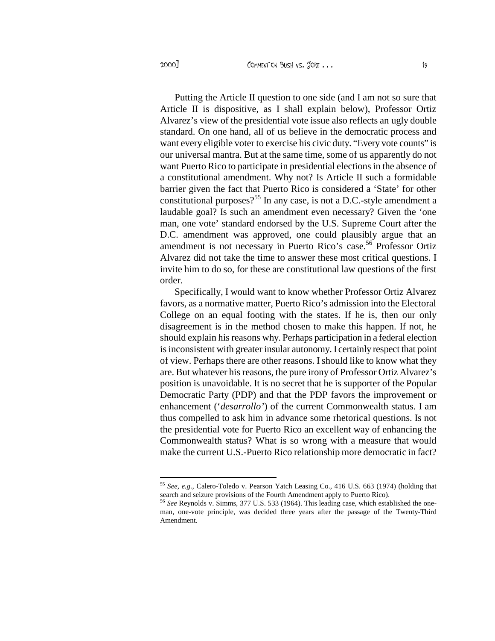2000] COMMENT ON BUSH VS. GORE ...

Putting the Article II question to one side (and I am not so sure that Article II is dispositive, as I shall explain below), Professor Ortiz Alvarez's view of the presidential vote issue also reflects an ugly double standard. On one hand, all of us believe in the democratic process and want every eligible voter to exercise his civic duty. "Every vote counts" is our universal mantra. But at the same time, some of us apparently do not want Puerto Rico to participate in presidential elections in the absence of a constitutional amendment. Why not? Is Article II such a formidable barrier given the fact that Puerto Rico is considered a 'State' for other constitutional purposes?<sup>55</sup> In any case, is not a D.C.-style amendment a laudable goal? Is such an amendment even necessary? Given the 'one man, one vote' standard endorsed by the U.S. Supreme Court after the D.C. amendment was approved, one could plausibly argue that an amendment is not necessary in Puerto Rico's case.<sup>56</sup> Professor Ortiz Alvarez did not take the time to answer these most critical questions. I invite him to do so, for these are constitutional law questions of the first order.

Specifically, I would want to know whether Professor Ortiz Alvarez favors, as a normative matter, Puerto Rico's admission into the Electoral College on an equal footing with the states. If he is, then our only disagreement is in the method chosen to make this happen. If not, he should explain his reasons why. Perhaps participation in a federal election is inconsistent with greater insular autonomy. I certainly respect that point of view. Perhaps there are other reasons. I should like to know what they are. But whatever his reasons, the pure irony of Professor Ortiz Alvarez's position is unavoidable. It is no secret that he is supporter of the Popular Democratic Party (PDP) and that the PDP favors the improvement or enhancement ('*desarrollo'*) of the current Commonwealth status. I am thus compelled to ask him in advance some rhetorical questions. Is not the presidential vote for Puerto Rico an excellent way of enhancing the Commonwealth status? What is so wrong with a measure that would make the current U.S.-Puerto Rico relationship more democratic in fact?

<sup>55</sup> *See, e.g.,* Calero-Toledo v. Pearson Yatch Leasing Co., 416 U.S. 663 (1974) (holding that search and seizure provisions of the Fourth Amendment apply to Puerto Rico).

<sup>56</sup> *See* Reynolds v. Simms, 377 U.S. 533 (1964). This leading case, which established the oneman, one-vote principle, was decided three years after the passage of the Twenty-Third Amendment.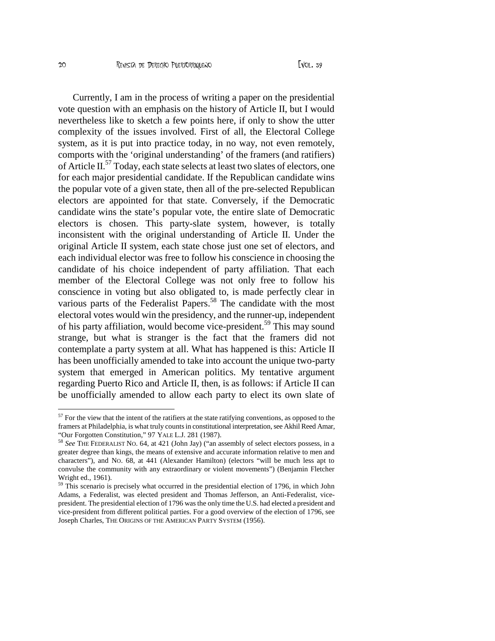Currently, I am in the process of writing a paper on the presidential vote question with an emphasis on the history of Article II, but I would nevertheless like to sketch a few points here, if only to show the utter complexity of the issues involved. First of all, the Electoral College system, as it is put into practice today, in no way, not even remotely, comports with the 'original understanding' of the framers (and ratifiers) of Article II.<sup>57</sup> Today, each state selects at least two slates of electors, one for each major presidential candidate. If the Republican candidate wins the popular vote of a given state, then all of the pre-selected Republican electors are appointed for that state. Conversely, if the Democratic candidate wins the state's popular vote, the entire slate of Democratic electors is chosen. This party-slate system, however, is totally inconsistent with the original understanding of Article II. Under the original Article II system, each state chose just one set of electors, and each individual elector was free to follow his conscience in choosing the candidate of his choice independent of party affiliation. That each member of the Electoral College was not only free to follow his conscience in voting but also obligated to, is made perfectly clear in various parts of the Federalist Papers.<sup>58</sup> The candidate with the most electoral votes would win the presidency, and the runner-up, independent of his party affiliation, would become vice-president.<sup>59</sup> This may sound strange, but what is stranger is the fact that the framers did not contemplate a party system at all. What has happened is this: Article II has been unofficially amended to take into account the unique two-party system that emerged in American politics. My tentative argument regarding Puerto Rico and Article II, then, is as follows: if Article II can be unofficially amended to allow each party to elect its own slate of

<sup>&</sup>lt;sup>57</sup> For the view that the intent of the ratifiers at the state ratifying conventions, as opposed to the framers at Philadelphia, is what truly counts in constitutional interpretation, see Akhil Reed Amar, "Our Forgotten Constitution," 97 YALE L.J. 281 (1987).

<sup>58</sup> *See* THE FEDERALIST NO. 64, at 421 (John Jay) ("an assembly of select electors possess, in a greater degree than kings, the means of extensive and accurate information relative to men and characters"), and NO. 68, at 441 (Alexander Hamilton) (electors "will be much less apt to convulse the community with any extraordinary or violent movements") (Benjamin Fletcher Wright ed., 1961).

<sup>&</sup>lt;sup>59</sup> This scenario is precisely what occurred in the presidential election of 1796, in which John Adams, a Federalist, was elected president and Thomas Jefferson, an Anti-Federalist, vicepresident. The presidential election of 1796 was the only time the U.S. had elected a president and vice-president from different political parties. For a good overview of the election of 1796, see Joseph Charles, THE ORIGINS OF THE AMERICAN PARTY SYSTEM (1956).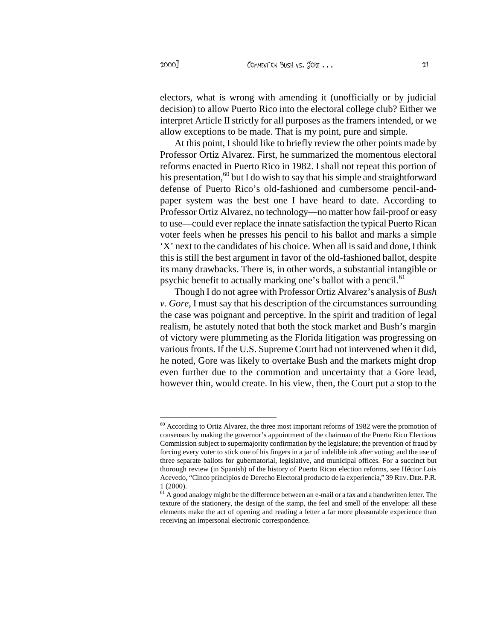electors, what is wrong with amending it (unofficially or by judicial decision) to allow Puerto Rico into the electoral college club? Either we interpret Article II strictly for all purposes as the framers intended, or we allow exceptions to be made. That is my point, pure and simple.

At this point, I should like to briefly review the other points made by Professor Ortiz Alvarez. First, he summarized the momentous electoral reforms enacted in Puerto Rico in 1982. I shall not repeat this portion of his presentation,<sup>60</sup> but I do wish to say that his simple and straightforward defense of Puerto Rico's old-fashioned and cumbersome pencil-andpaper system was the best one I have heard to date. According to Professor Ortiz Alvarez, no technology—no matter how fail-proof or easy to use—could ever replace the innate satisfaction the typical Puerto Rican voter feels when he presses his pencil to his ballot and marks a simple 'X' next to the candidates of his choice. When all is said and done, I think this is still the best argument in favor of the old-fashioned ballot, despite its many drawbacks. There is, in other words, a substantial intangible or psychic benefit to actually marking one's ballot with a pencil.<sup>61</sup>

Though I do not agree with Professor Ortiz Alvarez's analysis of *Bush v. Gore*, I must say that his description of the circumstances surrounding the case was poignant and perceptive. In the spirit and tradition of legal realism, he astutely noted that both the stock market and Bush's margin of victory were plummeting as the Florida litigation was progressing on various fronts. If the U.S. Supreme Court had not intervened when it did, he noted, Gore was likely to overtake Bush and the markets might drop even further due to the commotion and uncertainty that a Gore lead, however thin, would create. In his view, then, the Court put a stop to the

<sup>&</sup>lt;sup>60</sup> According to Ortiz Alvarez, the three most important reforms of 1982 were the promotion of consensus by making the governor's appointment of the chairman of the Puerto Rico Elections Commission subject to supermajority confirmation by the legislature; the prevention of fraud by forcing every voter to stick one of his fingers in a jar of indelible ink after voting; and the use of three separate ballots for gubernatorial, legislative, and municipal offices. For a succinct but thorough review (in Spanish) of the history of Puerto Rican election reforms, see Héctor Luis Acevedo, "Cinco principios de Derecho Electoral producto de la experiencia," 39 REV.DER.P.R. 1 (2000).

 $61$  A good analogy might be the difference between an e-mail or a fax and a handwritten letter. The texture of the stationery, the design of the stamp, the feel and smell of the envelope: all these elements make the act of opening and reading a letter a far more pleasurable experience than receiving an impersonal electronic correspondence.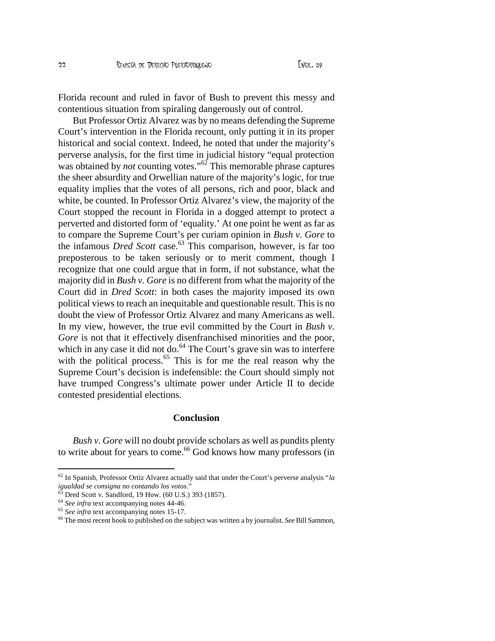Florida recount and ruled in favor of Bush to prevent this messy and contentious situation from spiraling dangerously out of control.

But Professor Ortiz Alvarez was by no means defending the Supreme Court's intervention in the Florida recount, only putting it in its proper historical and social context. Indeed, he noted that under the majority's perverse analysis, for the first time in judicial history "equal protection was obtained by *not* counting votes."<sup>62</sup> This memorable phrase captures the sheer absurdity and Orwellian nature of the majority's logic, for true equality implies that the votes of all persons, rich and poor, black and white, be counted. In Professor Ortiz Alvarez's view, the majority of the Court stopped the recount in Florida in a dogged attempt to protect a perverted and distorted form of 'equality.' At one point he went as far as to compare the Supreme Court's per curiam opinion in *Bush v. Gore* to the infamous *Dred Scott* case.<sup>63</sup> This comparison, however, is far too preposterous to be taken seriously or to merit comment, though I recognize that one could argue that in form, if not substance, what the majority did in *Bush v. Gore* is no different from what the majority of the Court did in *Dred Scott*: in both cases the majority imposed its own political views to reach an inequitable and questionable result. This is no doubt the view of Professor Ortiz Alvarez and many Americans as well. In my view, however, the true evil committed by the Court in *Bush v. Gore* is not that it effectively disenfranchised minorities and the poor, which in any case it did not do.<sup>64</sup> The Court's grave sin was to interfere with the political process.<sup>65</sup> This is for me the real reason why the Supreme Court's decision is indefensible: the Court should simply not have trumped Congress's ultimate power under Article II to decide contested presidential elections.

#### **Conclusion**

*Bush v. Gore* will no doubt provide scholars as well as pundits plenty to write about for years to come.<sup>66</sup> God knows how many professors (in

<sup>62</sup> In Spanish, Professor Ortiz Alvarez actually said that under the Court's perverse analysis "*la igualdad se consigna no contando los votos*."

<sup>63</sup> Dred Scott v. Sandford, 19 How. (60 U.S.) 393 (1857).

<sup>64</sup> *See infra* text accompanying notes 44-46.

<sup>65</sup> *See infra* text accompanying notes 15-17.

<sup>66</sup> The most recent book to published on the subject was written a by journalist. *See* Bill Sammon,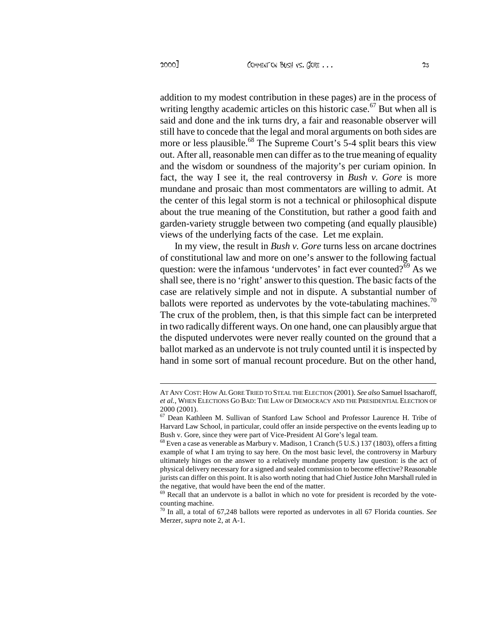addition to my modest contribution in these pages) are in the process of writing lengthy academic articles on this historic case.<sup>67</sup> But when all is said and done and the ink turns dry, a fair and reasonable observer will still have to concede that the legal and moral arguments on both sides are more or less plausible.<sup>68</sup> The Supreme Court's 5-4 split bears this view out. After all, reasonable men can differ as to the true meaning of equality and the wisdom or soundness of the majority's per curiam opinion. In fact, the way I see it, the real controversy in *Bush v. Gore* is more mundane and prosaic than most commentators are willing to admit. At the center of this legal storm is not a technical or philosophical dispute about the true meaning of the Constitution, but rather a good faith and garden-variety struggle between two competing (and equally plausible) views of the underlying facts of the case. Let me explain.

In my view, the result in *Bush v. Gore* turns less on arcane doctrines of constitutional law and more on one's answer to the following factual question: were the infamous 'undervotes' in fact ever counted?<sup>69</sup> As we shall see, there is no 'right' answer to this question. The basic facts of the case are relatively simple and not in dispute. A substantial number of ballots were reported as undervotes by the vote-tabulating machines.<sup>70</sup> The crux of the problem, then, is that this simple fact can be interpreted in two radically different ways. On one hand, one can plausibly argue that the disputed undervotes were never really counted on the ground that a ballot marked as an undervote is not truly counted until it is inspected by hand in some sort of manual recount procedure. But on the other hand,

AT ANY COST: HOW ALGORE TRIED TO STEAL THE ELECTION (2001). *See also* Samuel Issacharoff, *et al.*, WHEN ELECTIONS GO BAD: THE LAW OF DEMOCRACY AND THE PRESIDENTIAL ELECTION OF 2000 (2001).

<sup>67</sup> Dean Kathleen M. Sullivan of Stanford Law School and Professor Laurence H. Tribe of Harvard Law School, in particular, could offer an inside perspective on the events leading up to Bush v. Gore, since they were part of Vice-President Al Gore's legal team.

 $^{68}$  Even a case as venerable as Marbury v. Madison, 1 Cranch (5 U.S.) 137 (1803), offers a fitting example of what I am trying to say here. On the most basic level, the controversy in Marbury ultimately hinges on the answer to a relatively mundane property law question: is the act of physical delivery necessary for a signed and sealed commission to become effective? Reasonable jurists can differ on this point. It is also worth noting that had Chief Justice John Marshall ruled in the negative, that would have been the end of the matter.

<sup>&</sup>lt;sup>69</sup> Recall that an undervote is a ballot in which no vote for president is recorded by the votecounting machine.

<sup>70</sup> In all, a total of 67,248 ballots were reported as undervotes in all 67 Florida counties. *See* Merzer, *supra* note 2, at A-1.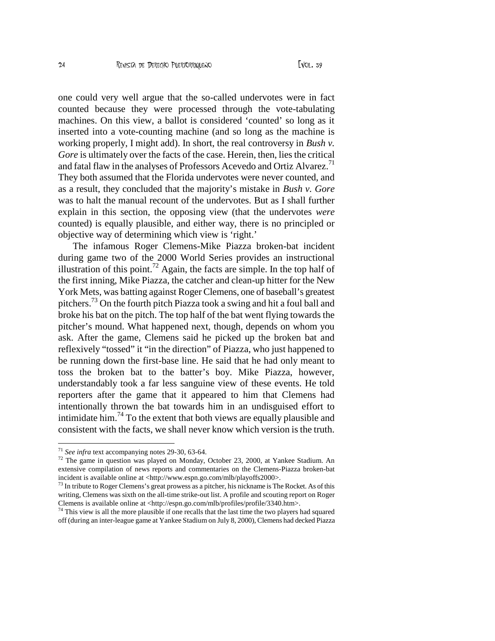one could very well argue that the salled undervotes were in fact counted because they were processed through the tabulating machines.  $\Phi$  this view, a ballot is considered •counted€ so long as it inserted into a voteounting machine (and so long as the machine is working properly, I might add). In short, the real controvers  $\mathbf{B}$ uish v. Gore is ultimately over the facts of the case. Herthen, lies the critical and fatal flaw in the analyses of Professors Acevedo and Ortiz Al $\hat{V}$ arez. They both assumed that the Florida undervotes were never counted, and as a result, they concluded that the majority€s mista **Resin** v. Gore was to halt the manual recount of the undervotes. But as I shall further explain in this section, the opposing view (that the undervoters counted) is equally plausible, and either way, there is no principled or objective way of determining which view is •right.€

The infamous Roger Clemendlike Piazza brokerbat incident during game two of the 2000 World Series provides an instructional illustration of this point<sup>2</sup> Again, the facts are simple. In the top half of the first inning, Mike Piazza, the catcher and clean hitter for the New York Mets, was batting against Roger Clemens, one of baseball€s greatest pitchers<sup>73</sup> On the fourth pitch Piazza took a swing and hit a foul ball and broke his bat on the pitch. The top half of the bat went flying towards the pitcher€s rorund. What happened next, though, depends on whom you ask. After the game, Clemens said he picked up the broken bat and reflexively f tossed, it f in the direction, of Piazza, who just happened to be running down the first ase line. He said that he had only ant to toss the broken bat to the batter€s boy. Mike Piazza, however, understandably took a far less sanguine view of these events. He told reporters after the game that it appeared to him that Clemens had intentionally thrown the bat towards him in andisguised effort to intimidate him<sup>74</sup> To the extent that both views are equally plausible and consistent with the facts, we shall never know which version is the truth.

<sup>72</sup> The game in question was played on Monday, October 23, 2000, at Yankee Stadium. An extensive compilation of news reports and commentaries on the Cleriens a brokenbat incident is available online a[t <http://www.espn.go.com/mlb/playoffs](http://www.espn.go.com/mlb/playoffs2000)2000>.

 $^{73}$  In tribute to Roger Clemens€s great prowess as a pitcher, his nickname is The Rocket. As of this writing, Clemens was sixth on the tilhe strikeout list. A profile and scouting report on Roger Clemens is available online [at <http://espn.go.com/mlb/profiles/profile/334](http://espn.go.com/mlb/profiles/profile/3340.htm)0.htm>.

 $74$  This view is all the more plausible if one recalls that the last the bay players had squared off (during an interleague game at Yankee Stadium on July 8, 2000), Clemens had decked Piazza

 $71$  See infratext accompanying notes  $200$ , 6364.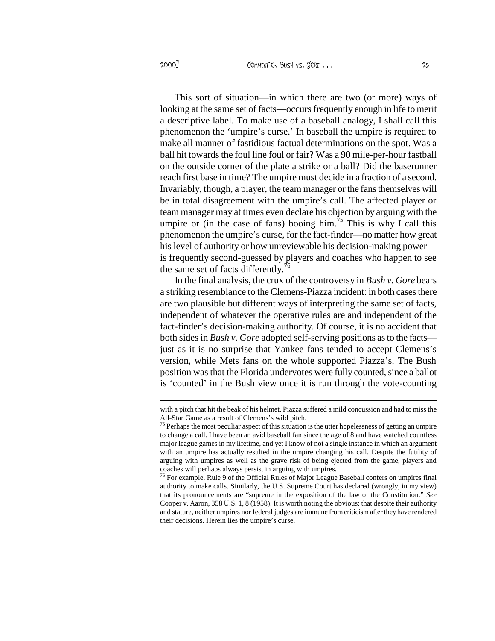This sort of situation—in which there are two (or more) ways of looking at the same set of facts—occurs frequently enough in life to merit a descriptive label. To make use of a baseball analogy, I shall call this phenomenon the 'umpire's curse.' In baseball the umpire is required to make all manner of fastidious factual determinations on the spot. Was a ball hit towards the foul line foul or fair? Was a 90 mile-per-hour fastball on the outside corner of the plate a strike or a ball? Did the baserunner reach first base in time? The umpire must decide in a fraction of a second. Invariably, though, a player, the team manager or the fans themselves will be in total disagreement with the umpire's call. The affected player or team manager may at times even declare his objection by arguing with the umpire or (in the case of fans) booing him.<sup>75</sup> This is why I call this phenomenon the umpire's curse, for the fact-finder—no matter how great his level of authority or how unreviewable his decision-making power is frequently second-guessed by players and coaches who happen to see the same set of facts differently.<sup>7</sup>

In the final analysis, the crux of the controversy in *Bush v. Gore* bears a striking resemblance to the Clemens-Piazza incident: in both cases there are two plausible but different ways of interpreting the same set of facts, independent of whatever the operative rules are and independent of the fact-finder's decision-making authority. Of course, it is no accident that both sides in *Bush v. Gore* adopted self-serving positions as to the facts just as it is no surprise that Yankee fans tended to accept Clemens's version, while Mets fans on the whole supported Piazza's. The Bush position was that the Florida undervotes were fully counted, since a ballot is 'counted' in the Bush view once it is run through the vote-counting

with a pitch that hit the beak of his helmet. Piazza suffered a mild concussion and had to miss the All-Star Game as a result of Clemens's wild pitch.

<sup>&</sup>lt;sup>75</sup> Perhaps the most peculiar aspect of this situation is the utter hopelessness of getting an umpire to change a call. I have been an avid baseball fan since the age of 8 and have watched countless major league games in my lifetime, and yet I know of not a single instance in which an argument with an umpire has actually resulted in the umpire changing his call. Despite the futility of arguing with umpires as well as the grave risk of being ejected from the game, players and coaches will perhaps always persist in arguing with umpires.

<sup>&</sup>lt;sup>76</sup> For example, Rule 9 of the Official Rules of Major League Baseball confers on umpires final authority to make calls. Similarly, the U.S. Supreme Court has declared (wrongly, in my view) that its pronouncements are "supreme in the exposition of the law of the Constitution." *See* Cooper v. Aaron, 358 U.S. 1, 8 (1958). It is worth noting the obvious: that despite their authority and stature, neither umpires nor federal judges are immune from criticism after they have rendered their decisions. Herein lies the umpire's curse.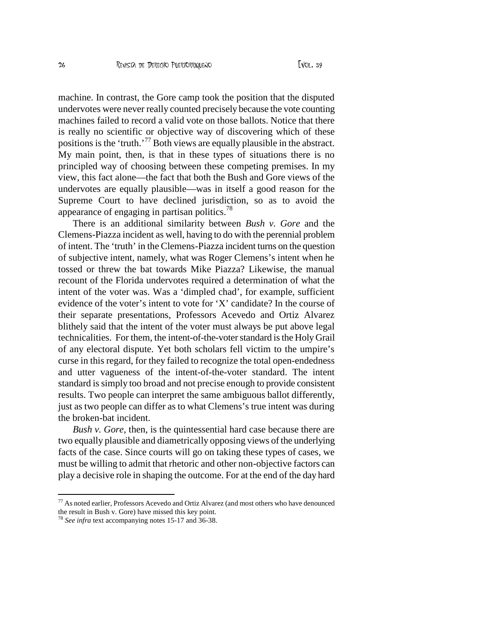machine. In contrast, the Gore camp took the position that the disputed undervotes were never really counted precisely because the vote counting machines failed to record a valid vote on those ballots. Notice that there is really no scientific or objective way of discovering which of these positions is the 'truth.'<sup>77</sup> Both views are equally plausible in the abstract. My main point, then, is that in these types of situations there is no principled way of choosing between these competing premises. In my view, this fact alone—the fact that both the Bush and Gore views of the undervotes are equally plausible—was in itself a good reason for the Supreme Court to have declined jurisdiction, so as to avoid the appearance of engaging in partisan politics.<sup>78</sup>

There is an additional similarity between *Bush v. Gore* and the Clemens-Piazza incident as well, having to do with the perennial problem of intent. The 'truth' in the Clemens-Piazza incident turns on the question of subjective intent, namely, what was Roger Clemens's intent when he tossed or threw the bat towards Mike Piazza? Likewise, the manual recount of the Florida undervotes required a determination of what the intent of the voter was. Was a 'dimpled chad', for example, sufficient evidence of the voter's intent to vote for 'X' candidate? In the course of their separate presentations, Professors Acevedo and Ortiz Alvarez blithely said that the intent of the voter must always be put above legal technicalities. For them, the intent-of-the-voter standard is the Holy Grail of any electoral dispute. Yet both scholars fell victim to the umpire's curse in this regard, for they failed to recognize the total open-endedness and utter vagueness of the intent-of-the-voter standard. The intent standard is simply too broad and not precise enough to provide consistent results. Two people can interpret the same ambiguous ballot differently, just as two people can differ as to what Clemens's true intent was during the broken-bat incident.

*Bush v. Gore*, then, is the quintessential hard case because there are two equally plausible and diametrically opposing views of the underlying facts of the case. Since courts will go on taking these types of cases, we must be willing to admit that rhetoric and other non-objective factors can play a decisive role in shaping the outcome. For at the end of the day hard

 $77$  As noted earlier, Professors Acevedo and Ortiz Alvarez (and most others who have denounced the result in Bush v. Gore) have missed this key point.

<sup>78</sup> *See infra* text accompanying notes 15-17 and 36-38.